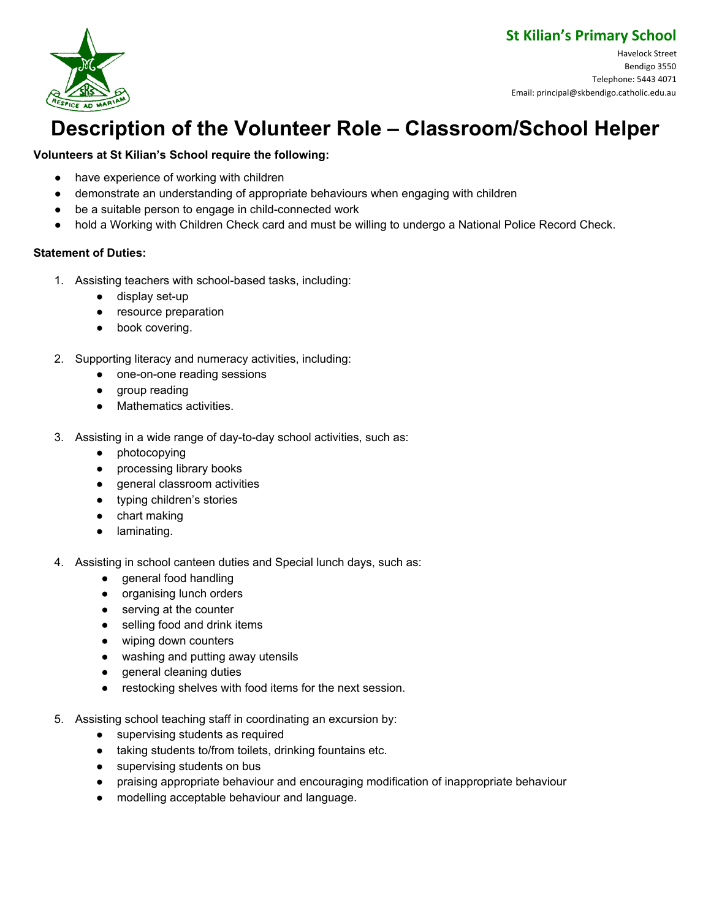## **St Kilian's Primary School**



Havelock Street Bendigo 3550 Telephone: 5443 4071 Email: principal@skbendigo.catholic.edu.au

## **Description of the Volunteer Role – Classroom/School Helper**

## **Volunteers at St Kilian's School require the following:**

- have experience of working with children
- demonstrate an understanding of appropriate behaviours when engaging with children
- be a suitable person to engage in child-connected work
- hold a Working with Children Check card and must be willing to undergo a National Police Record Check.

## **Statement of Duties:**

- 1. Assisting teachers with school-based tasks, including:
	- display set-up
	- resource preparation
	- book covering.
- 2. Supporting literacy and numeracy activities, including:
	- one-on-one reading sessions
	- group reading
	- Mathematics activities.
- 3. Assisting in a wide range of day-to-day school activities, such as:
	- photocopying
	- processing library books
	- general classroom activities
	- typing children's stories
	- chart making
	- laminating.
- 4. Assisting in school canteen duties and Special lunch days, such as:
	- general food handling
	- organising lunch orders
	- serving at the counter
	- selling food and drink items
	- wiping down counters
	- washing and putting away utensils
	- general cleaning duties
	- restocking shelves with food items for the next session.
- 5. Assisting school teaching staff in coordinating an excursion by:
	- supervising students as required
	- taking students to/from toilets, drinking fountains etc.
	- supervising students on bus
	- praising appropriate behaviour and encouraging modification of inappropriate behaviour
	- modelling acceptable behaviour and language.